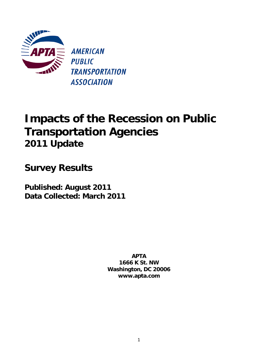

**AMERICAN PUBLIC TRANSPORTATION ASSOCIATION** 

# **Impacts of the Recession on Public Transportation Agencies 2011 Update**

**Survey Results** 

**Published: August 2011 Data Collected: March 2011** 

> **APTA 1666 K St. NW Washington, DC 20006 www.apta.com**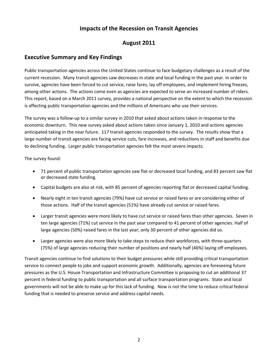# **Impacts of the Recession on Transit Agencies**

# **August 2011**

## **Executive Summary and Key Findings**

Public transportation agencies across the United States continue to face budgetary challenges as a result of the current recession. Many transit agencies saw decreases in state and local funding in the past year. In order to survive, agencies have been forced to cut service, raise fares, lay off employees, and implement hiring freezes, among other actions. The actions come even as agencies are expected to serve an increased number of riders. This report, based on a March 2011 survey, provides a national perspective on the extent to which the recession is affecting public transportation agencies and the millions of Americans who use their services.

The survey was a follow‐up to a similar survey in 2010 that asked about actions taken in response to the economic downturn. This new survey asked about actions taken since January 1, 2010 and actions agencies anticipated taking in the near future. 117 transit agencies responded to the survey. The results show that a large number of transit agencies are facing service cuts, fare increases, and reductions in staff and benefits due to declining funding. Larger public transportation agencies felt the most severe impacts.

The survey found:

- 71 percent of public transportation agencies saw flat or decreased local funding, and 83 percent saw flat or decreased state funding.
- Capital budgets are also at risk, with 85 percent of agencies reporting flat or decreased capital funding.
- Nearly eight in ten transit agencies (79%) have cut service or raised fares or are considering either of those actions. Half of the transit agencies (51%) have already cut service or raised fares.
- Larger transit agencies were more likely to have cut service or raised fares than other agencies. Seven in ten large agencies (71%) cut service in the past year compared to 41 percent of other agencies. Half of large agencies (50%) raised fares in the last year; only 30 percent of other agencies did so.
- Larger agencies were also more likely to take steps to reduce their workforces, with three‐quarters (75%) of large agencies reducing their number of positions and nearly half (46%) laying off employees.

Transit agencies continue to find solutions to their budget pressures while still providing critical transportation service to connect people to jobs and support economic growth. Additionally, agencies are foreseeing future pressures as the U.S. House Transportation and Infrastructure Committee is proposing to cut an additional 37 percent in federal funding to public transportation and all surface transportation programs. State and local governments will not be able to make up for this lack of funding. Now is not the time to reduce critical federal funding that is needed to preserve service and address capital needs.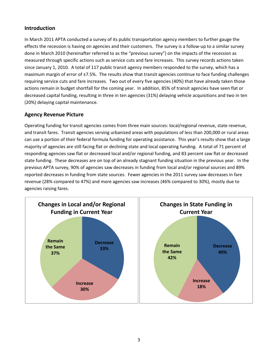## **Introduction**

In March 2011 APTA conducted a survey of its public transportation agency members to further gauge the effects the recession is having on agencies and their customers. The survey is a follow‐up to a similar survey done in March 2010 (hereinafter referred to as the "previous survey") on the impacts of the recession as measured through specific actions such as service cuts and fare increases. This survey records actions taken since January 1, 2010. A total of 117 public transit agency members responded to the survey, which has a maximum margin of error of ±7.5%. The results show that transit agencies continue to face funding challenges requiring service cuts and fare increases. Two out of every five agencies (40%) that have already taken those actions remain in budget shortfall for the coming year. In addition, 85% of transit agencies have seen flat or decreased capital funding, resulting in three in ten agencies (31%) delaying vehicle acquisitions and two in ten (20%) delaying capital maintenance.

#### **Agency Revenue Picture**

Operating funding for transit agencies comes from three main sources: local/regional revenue, state revenue, and transit fares. Transit agencies serving urbanized areas with populations of less than 200,000 or rural areas can use a portion of their federal formula funding for operating assistance. This year's results show that a large majority of agencies are still facing flat or declining state and local operating funding. A total of 71 percent of responding agencies saw flat or decreased local and/or regional funding, and 83 percent saw flat or decreased state funding. These decreases are on top of an already stagnant funding situation in the previous year. In the previous APTA survey, 90% of agencies saw decreases in funding from local and/or regional sources and 89% reported decreases in funding from state sources. Fewer agencies in the 2011 survey saw decreases in fare revenue (28% compared to 47%) and more agencies saw increases (46% compared to 30%), mostly due to agencies raising fares.

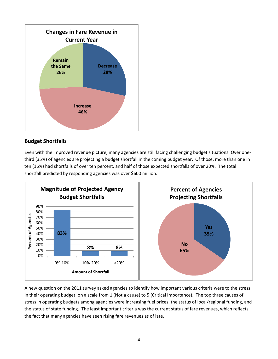

# **Budget Shortfalls**

Even with the improved revenue picture, many agencies are still facing challenging budget situations. Over one‐ third (35%) of agencies are projecting a budget shortfall in the coming budget year. Of those, more than one in ten (16%) had shortfalls of over ten percent, and half of those expected shortfalls of over 20%. The total shortfall predicted by responding agencies was over \$600 million.



A new question on the 2011 survey asked agencies to identify how important various criteria were to the stress in their operating budget, on a scale from 1 (Not a cause) to 5 (Critical Importance). The top three causes of stress in operating budgets among agencies were increasing fuel prices, the status of local/regional funding, and the status of state funding. The least important criteria was the current status of fare revenues, which reflects the fact that many agencies have seen rising fare revenues as of late.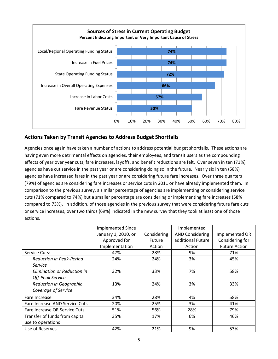

# **Actions Taken by Transit Agencies to Address Budget Shortfalls**

Agencies once again have taken a number of actions to address potential budget shortfalls. These actions are having even more detrimental effects on agencies, their employees, and transit users as the compounding effects of year over year cuts, fare increases, layoffs, and benefit reductions are felt. Over seven in ten (71%) agencies have cut service in the past year or are considering doing so in the future. Nearly six in ten (58%) agencies have increased fares in the past year or are considering future fare increases. Over three quarters (79%) of agencies are considering fare increases or service cuts in 2011 or have already implemented them. In comparison to the previous survey, a similar percentage of agencies are implementing or considering service cuts (71% compared to 74%) but a smaller percentage are considering or implementing fare increases (58% compared to 73%). In addition, of those agencies in the previous survey that were considering future fare cuts or service increases, over two thirds (69%) indicated in the new survey that they took at least one of those actions.

|                                 | <b>Implemented Since</b> |             | Implemented            |                      |
|---------------------------------|--------------------------|-------------|------------------------|----------------------|
|                                 | January 1, 2010, or      | Considering | <b>AND Considering</b> | Implemented OR       |
|                                 | Approved for             | Future      | additional Future      | Considering for      |
|                                 | Implementation           | Action      | Action                 | <b>Future Action</b> |
| Service Cuts:                   | 47%                      | 28%         | 9%                     | 71%                  |
| <b>Reduction in Peak-Period</b> | 24%                      | 24%         | 3%                     | 45%                  |
| Service                         |                          |             |                        |                      |
| Elimination or Reduction in     | 32%                      | 33%         | 7%                     | 58%                  |
| Off-Peak Service                |                          |             |                        |                      |
| Reduction in Geographic         | 13%                      | 24%         | 3%                     | 33%                  |
| Coverage of Service             |                          |             |                        |                      |
| Fare Increase                   | 34%                      | 28%         | 4%                     | 58%                  |
| Fare Increase AND Service Cuts  | 20%                      | 25%         | 3%                     | 41%                  |
| Fare Increase OR Service Cuts   | 51%                      | 56%         | 28%                    | 79%                  |
| Transfer of funds from capital  | 35%                      | 17%         | 6%                     | 46%                  |
| use to operations               |                          |             |                        |                      |
| Use of Reserves                 | 42%                      | 21%         | 9%                     | 53%                  |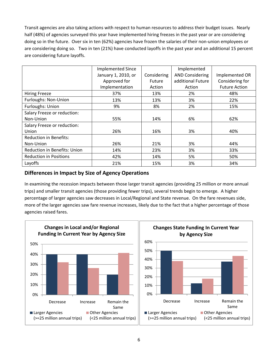Transit agencies are also taking actions with respect to human resources to address their budget issues. Nearly half (48%) of agencies surveyed this year have implemented hiring freezes in the past year or are considering doing so in the future. Over six in ten (62%) agencies have frozen the salaries of their non-union employees or are considering doing so. Two in ten (21%) have conducted layoffs in the past year and an additional 15 percent are considering future layoffs.

|                                     | <b>Implemented Since</b> |               | Implemented            |                      |
|-------------------------------------|--------------------------|---------------|------------------------|----------------------|
|                                     | January 1, 2010, or      | Considering   | <b>AND Considering</b> | Implemented OR       |
|                                     | Approved for             | <b>Future</b> | additional Future      | Considering for      |
|                                     | Implementation           | Action        | Action                 | <b>Future Action</b> |
| <b>Hiring Freeze</b>                | 37%                      | 13%           | 2%                     | 48%                  |
| Furloughs: Non-Union                | 13%                      | 13%           | 3%                     | 22%                  |
| Furloughs: Union                    | 9%                       | 8%            | 2%                     | 15%                  |
| Salary Freeze or reduction:         |                          |               |                        |                      |
| Non-Union                           | 55%                      | 14%           | 6%                     | 62%                  |
| Salary Freeze or reduction:         |                          |               |                        |                      |
| Union                               | 26%                      | 16%           | 3%                     | 40%                  |
| <b>Reduction in Benefits:</b>       |                          |               |                        |                      |
| Non-Union                           | 26%                      | 21%           | 3%                     | 44%                  |
| <b>Reduction in Benefits: Union</b> | 14%                      | 23%           | 3%                     | 33%                  |
| <b>Reduction in Positions</b>       | 42%                      | 14%           | 5%                     | 50%                  |
| Layoffs                             | 21%                      | 15%           | 3%                     | 34%                  |

## **Differences in Impact by Size of Agency Operations**

In examining the recession impacts between those larger transit agencies (providing 25 million or more annual trips) and smaller transit agencies (those providing fewer trips), several trends begin to emerge. A higher percentage of larger agencies saw decreases in Local/Regional and State revenue. On the fare revenues side, more of the larger agencies saw fare revenue increases, likely due to the fact that a higher percentage of those agencies raised fares.

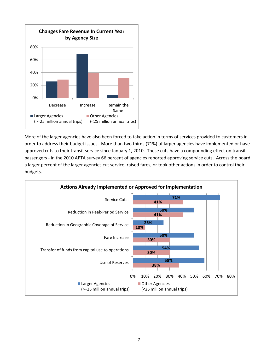

More of the larger agencies have also been forced to take action in terms of services provided to customers in order to address their budget issues. More than two thirds (71%) of larger agencies have implemented or have approved cuts to their transit service since January 1, 2010. These cuts have a compounding effect on transit passengers ‐ in the 2010 APTA survey 66 percent of agencies reported approving service cuts. Across the board a larger percent of the larger agencies cut service, raised fares, or took other actions in order to control their budgets.

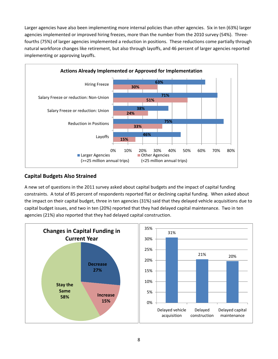Larger agencies have also been implementing more internal policies than other agencies. Six in ten (63%) larger agencies implemented or improved hiring freezes, more than the number from the 2010 survey (54%). Threefourths (75%) of larger agencies implemented a reduction in positions. These reductions come partially through natural workforce changes like retirement, but also through layoffs, and 46 percent of larger agencies reported implementing or approving layoffs.



## **Capital Budgets Also Strained**

A new set of questions in the 2011 survey asked about capital budgets and the impact of capital funding constraints. A total of 85 percent of respondents reported flat or declining capital funding. When asked about the impact on their capital budget, three in ten agencies (31%) said that they delayed vehicle acquisitions due to capital budget issues, and two in ten (20%) reported that they had delayed capital maintenance. Two in ten agencies (21%) also reported that they had delayed capital construction.